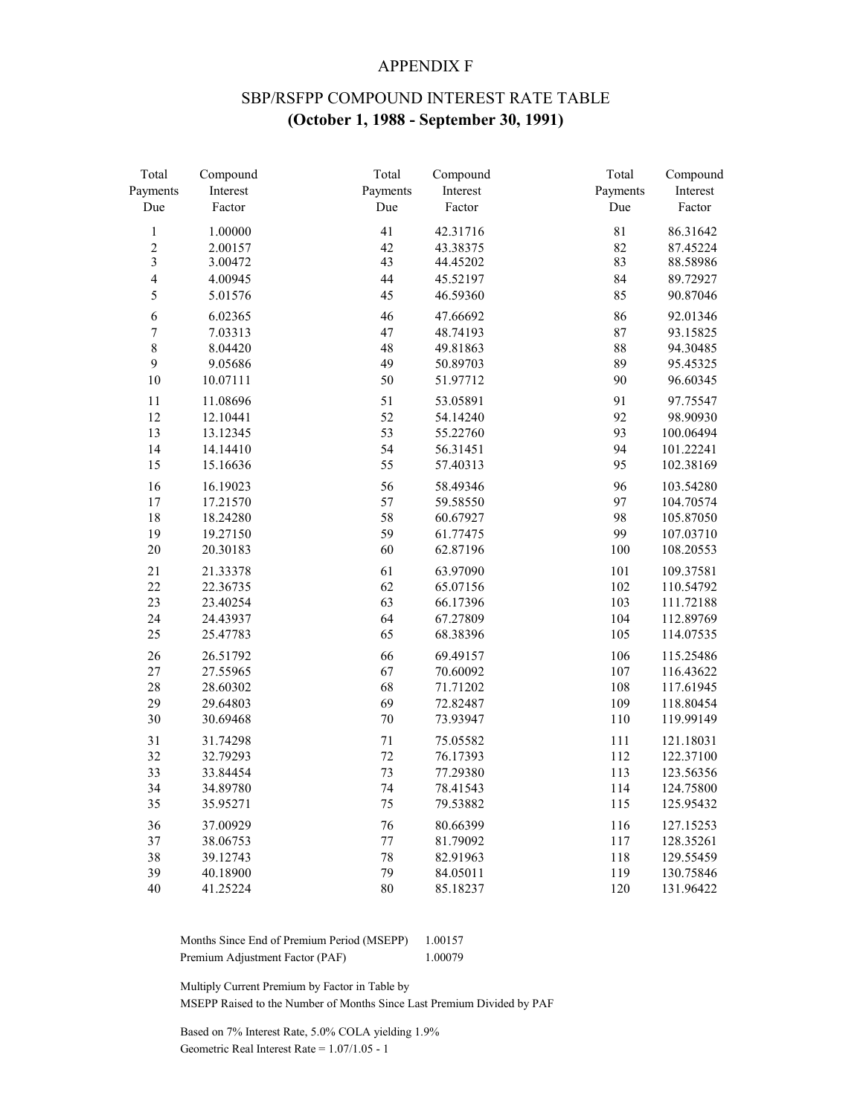#### APPENDIX F

# SBP/RSFPP COMPOUND INTEREST RATE TABLE **(October 1, 1988 - September 30, 1991)**

| Total                   | Compound | Total    | Compound | Total     | Compound  |
|-------------------------|----------|----------|----------|-----------|-----------|
| Payments                | Interest | Payments | Interest | Payments  | Interest  |
| Due                     | Factor   | Due      | Factor   | Due       | Factor    |
| $\,1\,$                 | 1.00000  | 41       | 42.31716 | 81        | 86.31642  |
| $\overline{c}$          | 2.00157  | 42       | 43.38375 | 82        | 87.45224  |
| $\overline{\mathbf{3}}$ | 3.00472  | 43       | 44.45202 | 83        | 88.58986  |
| $\overline{4}$          | 4.00945  | 44       | 45.52197 | 84        | 89.72927  |
| 5                       | 5.01576  | 45       | 46.59360 | 85        | 90.87046  |
| 6                       | 6.02365  | 46       | 47.66692 | 86        | 92.01346  |
| $\overline{7}$          | 7.03313  | 47       | 48.74193 | 87        | 93.15825  |
| $\,$ $\,$               | 8.04420  | 48       | 49.81863 | 88        | 94.30485  |
| 9                       | 9.05686  | 49       | 50.89703 | 89        | 95.45325  |
| 10                      | 10.07111 | 50       | 51.97712 | 90        | 96.60345  |
| 11                      | 11.08696 | 51       | 53.05891 | 91        | 97.75547  |
| 12                      | 12.10441 | 52       | 54.14240 | 92        | 98.90930  |
| 13                      | 13.12345 | 53       | 55.22760 | 93        | 100.06494 |
| 14                      | 14.14410 | 54       | 56.31451 | 94        | 101.22241 |
| 15                      | 15.16636 | 55       | 57.40313 | 95        | 102.38169 |
| 16                      | 16.19023 | 56       | 58.49346 | 96        | 103.54280 |
| 17                      | 17.21570 | 57       | 59.58550 | 97        | 104.70574 |
| $18\,$                  | 18.24280 | 58       | 60.67927 | 98        | 105.87050 |
| 19                      | 19.27150 | 59       | 61.77475 | 99        | 107.03710 |
| 20                      | 20.30183 | 60       | 62.87196 | 100       | 108.20553 |
| 21                      | 21.33378 | 61       | 63.97090 | 101       | 109.37581 |
| 22                      | 22.36735 | 62       | 65.07156 | 102       | 110.54792 |
| 23                      | 23.40254 | 63       | 66.17396 | 103       | 111.72188 |
| 24                      | 24.43937 | 64       | 67.27809 | 104       | 112.89769 |
| 25                      | 25.47783 | 65       | 68.38396 | 105       | 114.07535 |
| 26                      | 26.51792 | 66       | 69.49157 | 106       | 115.25486 |
| 27                      | 27.55965 | 67       | 70.60092 | 107       | 116.43622 |
| 28                      | 28.60302 | 68       | 71.71202 | 108       | 117.61945 |
| 29                      | 29.64803 | 69       | 72.82487 | 109       | 118.80454 |
| 30                      | 30.69468 | 70       | 73.93947 | 110       | 119.99149 |
| 31                      | 31.74298 | $71\,$   | 75.05582 | $1\,1\,1$ | 121.18031 |
| 32                      | 32.79293 | 72       | 76.17393 | 112       | 122.37100 |
| 33                      | 33.84454 | 73       | 77.29380 | 113       | 123.56356 |
| 34                      | 34.89780 | 74       | 78.41543 | 114       | 124.75800 |
| 35                      | 35.95271 | 75       | 79.53882 | 115       | 125.95432 |
| 36                      | 37.00929 | 76       | 80.66399 | 116       | 127.15253 |
| 37                      | 38.06753 | $77 \,$  | 81.79092 | 117       | 128.35261 |
| 38                      | 39.12743 | 78       | 82.91963 | 118       | 129.55459 |
| 39                      | 40.18900 | 79       | 84.05011 | 119       | 130.75846 |
| 40                      | 41.25224 | 80       | 85.18237 | 120       | 131.96422 |

 Months Since End of Premium Period (MSEPP) 1.00157 Premium Adjustment Factor (PAF) 1.00079

Multiply Current Premium by Factor in Table by

MSEPP Raised to the Number of Months Since Last Premium Divided by PAF

 Based on 7% Interest Rate, 5.0% COLA yielding 1.9% Geometric Real Interest Rate = 1.07/1.05 - 1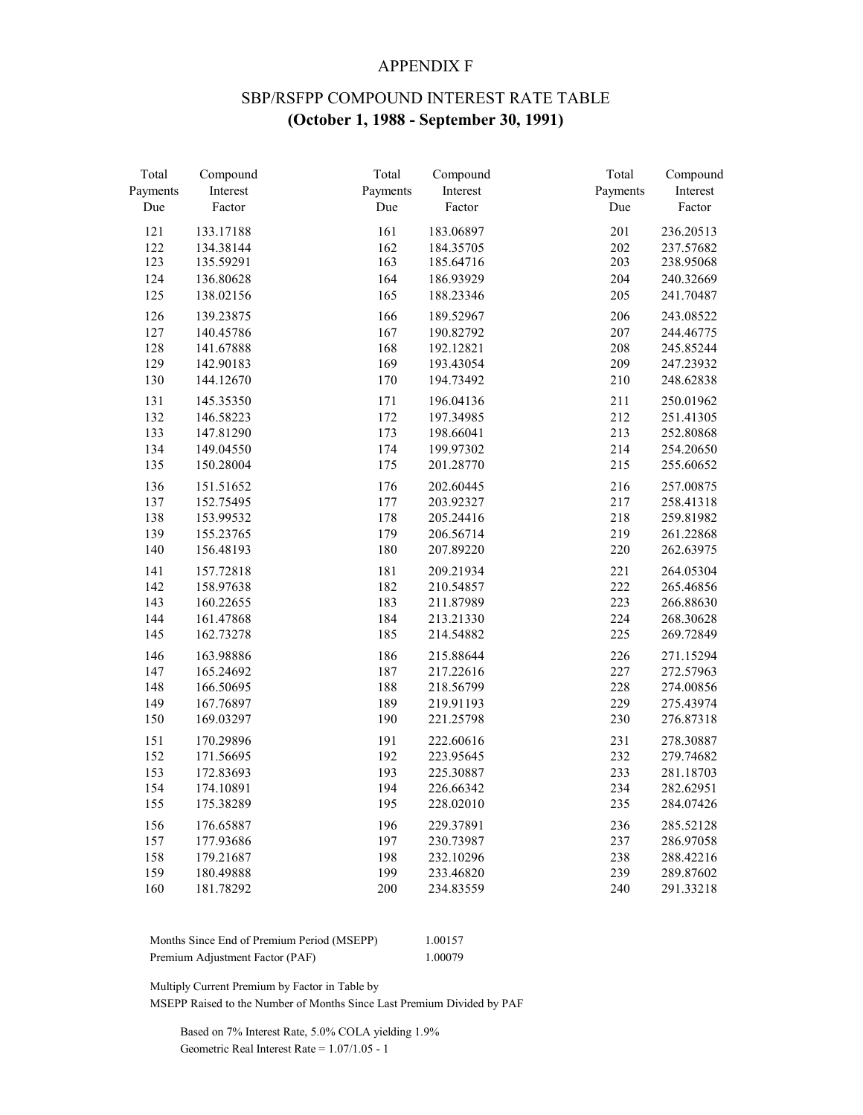#### APPENDIX F

# SBP/RSFPP COMPOUND INTEREST RATE TABLE **(October 1, 1988 - September 30, 1991)**

| Total    | Compound  | Total    | Compound  | Total    | Compound  |
|----------|-----------|----------|-----------|----------|-----------|
| Payments | Interest  | Payments | Interest  | Payments | Interest  |
| Due      | Factor    | Due      | Factor    | Due      | Factor    |
| 121      | 133.17188 | 161      | 183.06897 | 201      | 236.20513 |
| 122      | 134.38144 | 162      | 184.35705 | 202      | 237.57682 |
| 123      | 135.59291 | 163      | 185.64716 | 203      | 238.95068 |
| 124      | 136.80628 | 164      | 186.93929 | 204      | 240.32669 |
| 125      | 138.02156 | 165      | 188.23346 | 205      | 241.70487 |
| 126      | 139.23875 | 166      | 189.52967 | 206      | 243.08522 |
| 127      | 140.45786 | 167      | 190.82792 | 207      | 244.46775 |
| 128      | 141.67888 | 168      | 192.12821 | 208      | 245.85244 |
| 129      | 142.90183 | 169      | 193.43054 | 209      | 247.23932 |
| 130      | 144.12670 | 170      | 194.73492 | 210      | 248.62838 |
| 131      | 145.35350 | 171      | 196.04136 | 211      | 250.01962 |
| 132      | 146.58223 | 172      | 197.34985 | 212      | 251.41305 |
| 133      | 147.81290 | 173      | 198.66041 | 213      | 252.80868 |
| 134      | 149.04550 | 174      | 199.97302 | 214      | 254.20650 |
| 135      | 150.28004 | 175      | 201.28770 | 215      | 255.60652 |
| 136      | 151.51652 | 176      | 202.60445 | 216      | 257.00875 |
| 137      | 152.75495 | 177      | 203.92327 | 217      | 258.41318 |
| 138      | 153.99532 | 178      | 205.24416 | 218      | 259.81982 |
| 139      | 155.23765 | 179      | 206.56714 | 219      | 261.22868 |
| 140      | 156.48193 | 180      | 207.89220 | 220      | 262.63975 |
| 141      | 157.72818 | 181      | 209.21934 | 221      | 264.05304 |
| 142      | 158.97638 | 182      | 210.54857 | 222      | 265.46856 |
| 143      | 160.22655 | 183      | 211.87989 | 223      | 266.88630 |
| 144      | 161.47868 | 184      | 213.21330 | 224      | 268.30628 |
| 145      | 162.73278 | 185      | 214.54882 | 225      | 269.72849 |
| 146      | 163.98886 | 186      | 215.88644 | 226      | 271.15294 |
| 147      | 165.24692 | 187      | 217.22616 | 227      | 272.57963 |
| 148      | 166.50695 | 188      | 218.56799 | 228      | 274.00856 |
| 149      | 167.76897 | 189      | 219.91193 | 229      | 275.43974 |
| 150      | 169.03297 | 190      | 221.25798 | 230      | 276.87318 |
| 151      | 170.29896 | 191      | 222.60616 | 231      | 278.30887 |
| 152      | 171.56695 | 192      | 223.95645 | 232      | 279.74682 |
| 153      | 172.83693 | 193      | 225.30887 | 233      | 281.18703 |
| 154      | 174.10891 | 194      | 226.66342 | 234      | 282.62951 |
| 155      | 175.38289 | 195      | 228.02010 | 235      | 284.07426 |
| 156      | 176.65887 | 196      | 229.37891 | 236      | 285.52128 |
| 157      | 177.93686 | 197      | 230.73987 | 237      | 286.97058 |
| 158      | 179.21687 | 198      | 232.10296 | 238      | 288.42216 |
| 159      | 180.49888 | 199      | 233.46820 | 239      | 289.87602 |
| 160      | 181.78292 | 200      | 234.83559 | 240      | 291.33218 |
|          |           |          |           |          |           |

| Months Since End of Premium Period (MSEPP) | 1.00157 |
|--------------------------------------------|---------|
| Premium Adjustment Factor (PAF)            | 1.00079 |

Multiply Current Premium by Factor in Table by

MSEPP Raised to the Number of Months Since Last Premium Divided by PAF

 Based on 7% Interest Rate, 5.0% COLA yielding 1.9% Geometric Real Interest Rate = 1.07/1.05 - 1